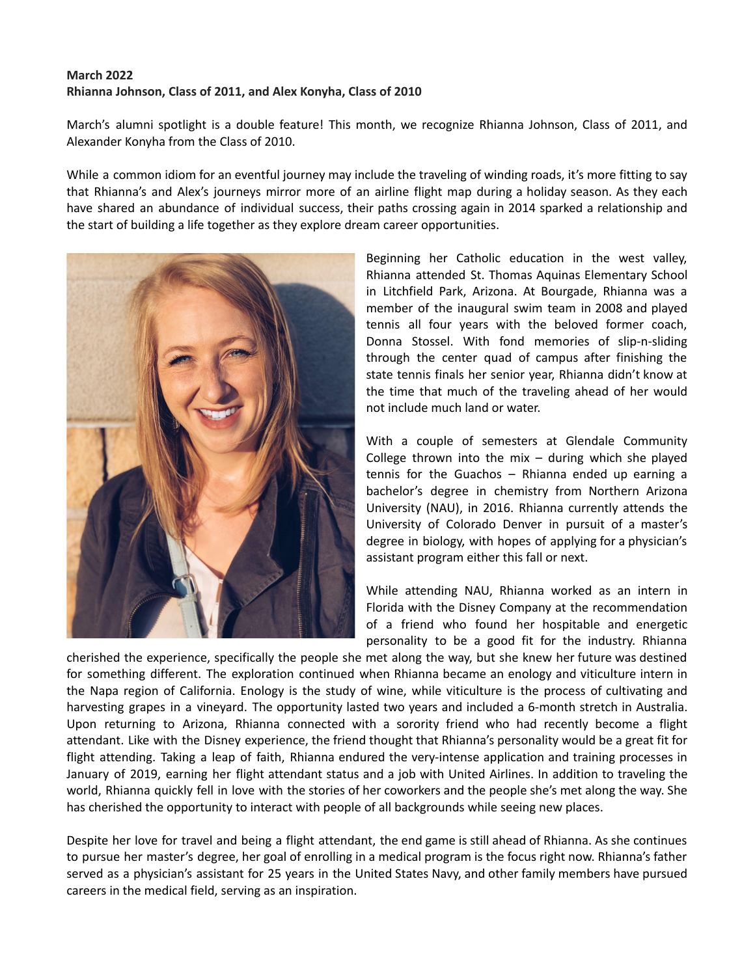## **March 2022 Rhianna Johnson, Class of 2011, and Alex Konyha, Class of 2010**

March's alumni spotlight is a double feature! This month, we recognize Rhianna Johnson, Class of 2011, and Alexander Konyha from the Class of 2010.

While a common idiom for an eventful journey may include the traveling of winding roads, it's more fitting to say that Rhianna's and Alex's journeys mirror more of an airline flight map during a holiday season. As they each have shared an abundance of individual success, their paths crossing again in 2014 sparked a relationship and the start of building a life together as they explore dream career opportunities.



Beginning her Catholic education in the west valley, Rhianna attended St. Thomas Aquinas Elementary School in Litchfield Park, Arizona. At Bourgade, Rhianna was a member of the inaugural swim team in 2008 and played tennis all four years with the beloved former coach, Donna Stossel. With fond memories of slip-n-sliding through the center quad of campus after finishing the state tennis finals her senior year, Rhianna didn't know at the time that much of the traveling ahead of her would not include much land or water.

With a couple of semesters at Glendale Community College thrown into the mix  $-$  during which she played tennis for the Guachos – Rhianna ended up earning a bachelor's degree in chemistry from Northern Arizona University (NAU), in 2016. Rhianna currently attends the University of Colorado Denver in pursuit of a master's degree in biology, with hopes of applying for a physician's assistant program either this fall or next.

While attending NAU, Rhianna worked as an intern in Florida with the Disney Company at the recommendation of a friend who found her hospitable and energetic personality to be a good fit for the industry. Rhianna

cherished the experience, specifically the people she met along the way, but she knew her future was destined for something different. The exploration continued when Rhianna became an enology and viticulture intern in the Napa region of California. Enology is the study of wine, while viticulture is the process of cultivating and harvesting grapes in a vineyard. The opportunity lasted two years and included a 6-month stretch in Australia. Upon returning to Arizona, Rhianna connected with a sorority friend who had recently become a flight attendant. Like with the Disney experience, the friend thought that Rhianna's personality would be a great fit for flight attending. Taking a leap of faith, Rhianna endured the very-intense application and training processes in January of 2019, earning her flight attendant status and a job with United Airlines. In addition to traveling the world, Rhianna quickly fell in love with the stories of her coworkers and the people she's met along the way. She has cherished the opportunity to interact with people of all backgrounds while seeing new places.

Despite her love for travel and being a flight attendant, the end game is still ahead of Rhianna. As she continues to pursue her master's degree, her goal of enrolling in a medical program is the focus right now. Rhianna's father served as a physician's assistant for 25 years in the United States Navy, and other family members have pursued careers in the medical field, serving as an inspiration.